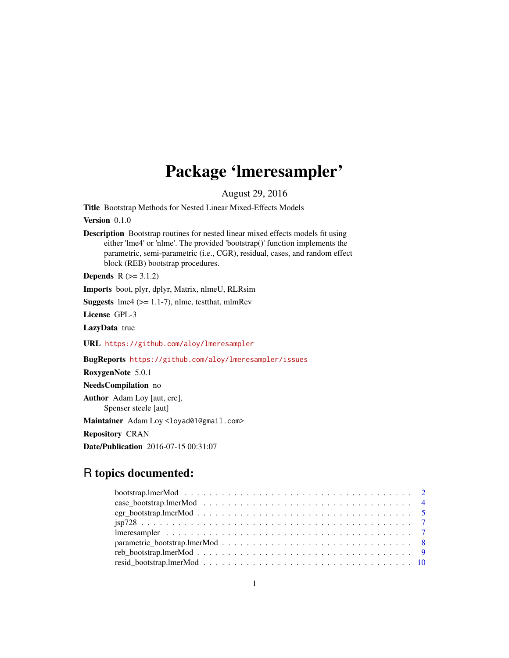## Package 'lmeresampler'

August 29, 2016

<span id="page-0-0"></span>Title Bootstrap Methods for Nested Linear Mixed-Effects Models

Version 0.1.0

Description Bootstrap routines for nested linear mixed effects models fit using either 'lme4' or 'nlme'. The provided 'bootstrap()' function implements the parametric, semi-parametric (i.e., CGR), residual, cases, and random effect block (REB) bootstrap procedures.

**Depends**  $R$  ( $> = 3.1.2$ )

Imports boot, plyr, dplyr, Matrix, nlmeU, RLRsim

**Suggests**  $\text{Im}e4$  ( $>= 1.1-7$ ), nlme, test that, mlmRev

License GPL-3

LazyData true

URL <https://github.com/aloy/lmeresampler>

BugReports <https://github.com/aloy/lmeresampler/issues>

RoxygenNote 5.0.1

NeedsCompilation no

Author Adam Loy [aut, cre], Spenser steele [aut]

Maintainer Adam Loy <loyad01@gmail.com>

Repository CRAN

Date/Publication 2016-07-15 00:31:07

## R topics documented: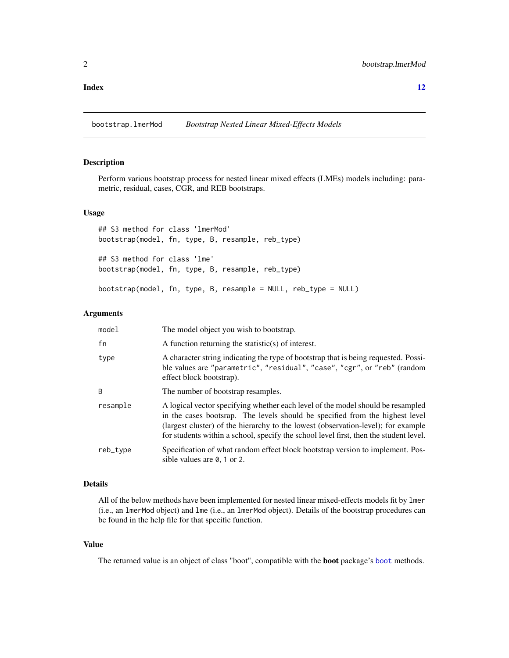## <span id="page-1-0"></span>**Index** [12](#page-11-0)

bootstrap.lmerMod *Bootstrap Nested Linear Mixed-Effects Models*

## Description

Perform various bootstrap process for nested linear mixed effects (LMEs) models including: parametric, residual, cases, CGR, and REB bootstraps.

### Usage

## S3 method for class 'lmerMod' bootstrap(model, fn, type, B, resample, reb\_type) ## S3 method for class 'lme' bootstrap(model, fn, type, B, resample, reb\_type) bootstrap(model, fn, type, B, resample = NULL, reb\_type = NULL)

## Arguments

| model    | The model object you wish to bootstrap.                                                                                                                                                                                                                                                                                                       |
|----------|-----------------------------------------------------------------------------------------------------------------------------------------------------------------------------------------------------------------------------------------------------------------------------------------------------------------------------------------------|
| fn       | A function returning the statistic(s) of interest.                                                                                                                                                                                                                                                                                            |
| type     | A character string indicating the type of bootstrap that is being requested. Possi-<br>ble values are "parametric", "residual", "case", "cgr", or "reb" (random<br>effect block bootstrap).                                                                                                                                                   |
| B        | The number of bootstrap resamples.                                                                                                                                                                                                                                                                                                            |
| resample | A logical vector specifying whether each level of the model should be resampled<br>in the cases bootsrap. The levels should be specified from the highest level<br>(largest cluster) of the hierarchy to the lowest (observation-level); for example<br>for students within a school, specify the school level first, then the student level. |
| reb_type | Specification of what random effect block bootstrap version to implement. Pos-<br>sible values are $\theta$ , 1 or 2.                                                                                                                                                                                                                         |

## Details

All of the below methods have been implemented for nested linear mixed-effects models fit by lmer (i.e., an lmerMod object) and lme (i.e., an lmerMod object). Details of the bootstrap procedures can be found in the help file for that specific function.

## Value

The returned value is an object of class "boot", compatible with the boot package's [boot](#page-0-0) methods.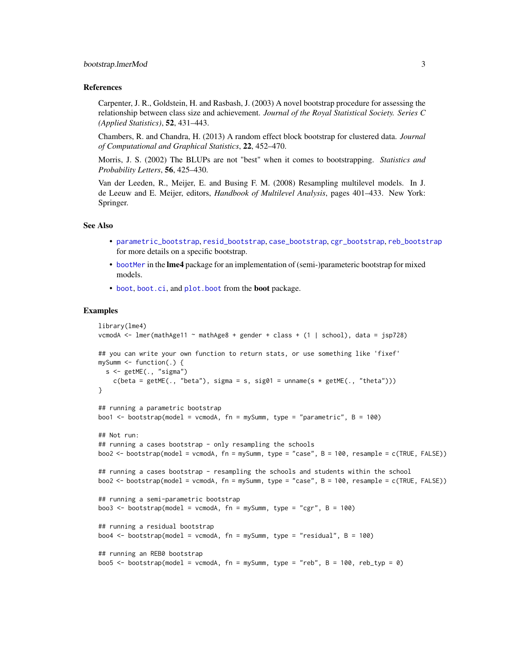#### <span id="page-2-0"></span>References

Carpenter, J. R., Goldstein, H. and Rasbash, J. (2003) A novel bootstrap procedure for assessing the relationship between class size and achievement. *Journal of the Royal Statistical Society. Series C (Applied Statistics)*, 52, 431–443.

Chambers, R. and Chandra, H. (2013) A random effect block bootstrap for clustered data. *Journal of Computational and Graphical Statistics*, 22, 452–470.

Morris, J. S. (2002) The BLUPs are not "best" when it comes to bootstrapping. *Statistics and Probability Letters*, 56, 425–430.

Van der Leeden, R., Meijer, E. and Busing F. M. (2008) Resampling multilevel models. In J. de Leeuw and E. Meijer, editors, *Handbook of Multilevel Analysis*, pages 401–433. New York: Springer.

## See Also

- [parametric\\_bootstrap](#page-7-1), [resid\\_bootstrap](#page-9-1), [case\\_bootstrap](#page-3-1), [cgr\\_bootstrap](#page-4-1), [reb\\_bootstrap](#page-8-1) for more details on a specific bootstrap.
- [bootMer](#page-0-0) in the lme4 package for an implementation of (semi-)parameteric bootstrap for mixed models.
- [boot](#page-0-0), [boot.ci](#page-0-0), and [plot.boot](#page-0-0) from the boot package.

## Examples

```
library(lme4)
vcmodA <- lmer(mathAge11 ~ mathAge8 + gender + class + (1 | school), data = jsp728)
## you can write your own function to return stats, or use something like 'fixef'
mySumm <- function(.) {
  s < - getME(., 'sigma'')c(beta = getME(., "beta"), sigma = s, sig01 = unname(s * getME(., "theta")))}
## running a parametric bootstrap
boo1 <- bootstrap(model = vcmodA, fn = mySumm, type = "parametric", B = 100)
## Not run:
## running a cases bootstrap - only resampling the schools
boo2 <- bootstrap(model = vcmodA, fn = mySumm, type = "case", B = 100, resample = c(TRUE, FALSE))
## running a cases bootstrap - resampling the schools and students within the school
boo2 <- bootstrap(model = vcmodA, fn = mySumm, type = "case", B = 100, resample = c(TRUE, FALSE))
## running a semi-parametric bootstrap
boo3 <- bootstrap(model = vcmodA, fn = mySumm, type = "cgr", B = 100)
## running a residual bootstrap
boo4 <- bootstrap(model = vcmodA, fn = mySumm, type = "residual", B = 100)
## running an REB0 bootstrap
boo5 <- bootstrap(model = vcmodA, fn = mySumm, type = "reb", B = 100, reb_typ = 0)
```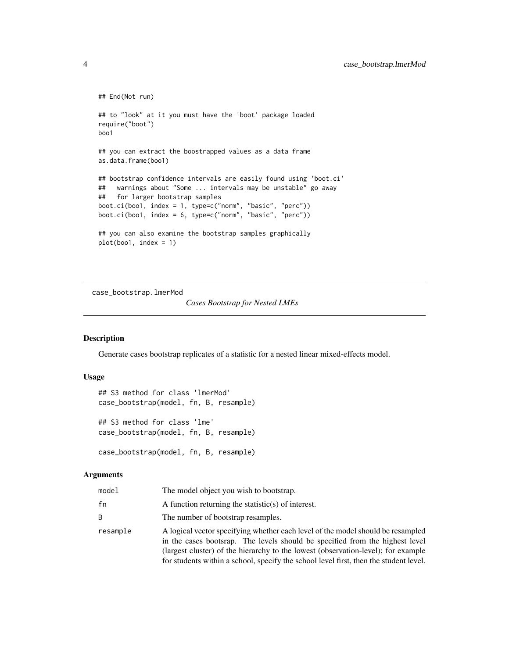```
## End(Not run)
## to "look" at it you must have the 'boot' package loaded
require("boot")
boo1
## you can extract the boostrapped values as a data frame
as.data.frame(boo1)
## bootstrap confidence intervals are easily found using 'boot.ci'
## warnings about "Some ... intervals may be unstable" go away
## for larger bootstrap samples
boot.ci(boo1, index = 1, type=c("norm", "basic", "perc"))
boot.ci(boo1, index = 6, type=c("norm", "basic", "perc"))
## you can also examine the bootstrap samples graphically
plot(boo1, index = 1)
```
case\_bootstrap.lmerMod

*Cases Bootstrap for Nested LMEs*

## <span id="page-3-1"></span>Description

Generate cases bootstrap replicates of a statistic for a nested linear mixed-effects model.

#### Usage

```
## S3 method for class 'lmerMod'
case_bootstrap(model, fn, B, resample)
```
## S3 method for class 'lme' case\_bootstrap(model, fn, B, resample)

```
case_bootstrap(model, fn, B, resample)
```
## Arguments

| model    | The model object you wish to bootstrap.                                                                                                                                                                                                                                                                                                       |
|----------|-----------------------------------------------------------------------------------------------------------------------------------------------------------------------------------------------------------------------------------------------------------------------------------------------------------------------------------------------|
| fn       | A function returning the statistic(s) of interest.                                                                                                                                                                                                                                                                                            |
| B.       | The number of bootstrap resamples.                                                                                                                                                                                                                                                                                                            |
| resample | A logical vector specifying whether each level of the model should be resampled<br>in the cases bootsrap. The levels should be specified from the highest level<br>(largest cluster) of the hierarchy to the lowest (observation-level); for example<br>for students within a school, specify the school level first, then the student level. |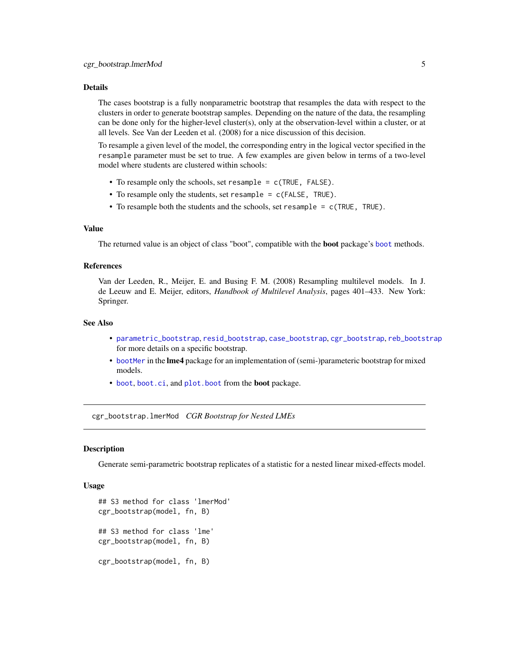## <span id="page-4-0"></span>Details

The cases bootstrap is a fully nonparametric bootstrap that resamples the data with respect to the clusters in order to generate bootstrap samples. Depending on the nature of the data, the resampling can be done only for the higher-level cluster(s), only at the observation-level within a cluster, or at all levels. See Van der Leeden et al. (2008) for a nice discussion of this decision.

To resample a given level of the model, the corresponding entry in the logical vector specified in the resample parameter must be set to true. A few examples are given below in terms of a two-level model where students are clustered within schools:

- To resample only the schools, set resample = c(TRUE, FALSE).
- To resample only the students, set resample = c(FALSE, TRUE).
- To resample both the students and the schools, set resample = c(TRUE, TRUE).

## Value

The returned value is an object of class "[boot](#page-0-0)", compatible with the **boot** package's boot methods.

## References

Van der Leeden, R., Meijer, E. and Busing F. M. (2008) Resampling multilevel models. In J. de Leeuw and E. Meijer, editors, *Handbook of Multilevel Analysis*, pages 401–433. New York: Springer.

## See Also

- [parametric\\_bootstrap](#page-7-1), [resid\\_bootstrap](#page-9-1), [case\\_bootstrap](#page-3-1), [cgr\\_bootstrap](#page-4-1), [reb\\_bootstrap](#page-8-1) for more details on a specific bootstrap.
- [bootMer](#page-0-0) in the lme4 package for an implementation of (semi-)parameteric bootstrap for mixed models.
- [boot](#page-0-0), [boot.ci](#page-0-0), and [plot.boot](#page-0-0) from the boot package.

cgr\_bootstrap.lmerMod *CGR Bootstrap for Nested LMEs*

### <span id="page-4-1"></span>Description

Generate semi-parametric bootstrap replicates of a statistic for a nested linear mixed-effects model.

#### Usage

```
## S3 method for class 'lmerMod'
cgr_bootstrap(model, fn, B)
## S3 method for class 'lme'
cgr_bootstrap(model, fn, B)
cgr_bootstrap(model, fn, B)
```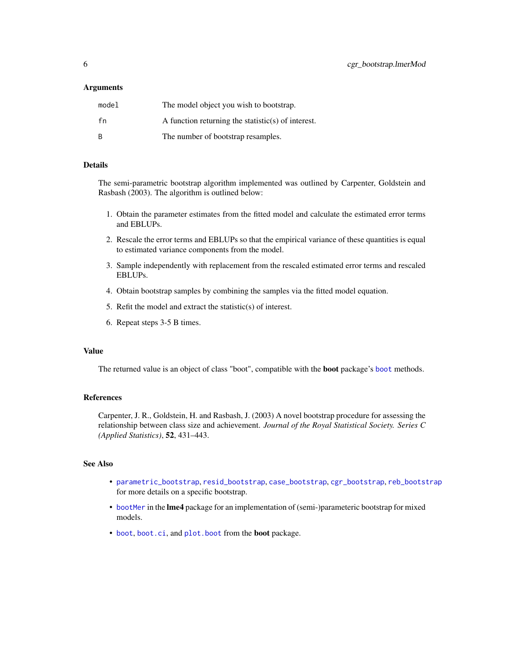## <span id="page-5-0"></span>**Arguments**

| model        | The model object you wish to bootstrap.            |
|--------------|----------------------------------------------------|
| fn           | A function returning the statistic(s) of interest. |
| <sup>B</sup> | The number of bootstrap resamples.                 |

## Details

The semi-parametric bootstrap algorithm implemented was outlined by Carpenter, Goldstein and Rasbash (2003). The algorithm is outlined below:

- 1. Obtain the parameter estimates from the fitted model and calculate the estimated error terms and EBLUPs.
- 2. Rescale the error terms and EBLUPs so that the empirical variance of these quantities is equal to estimated variance components from the model.
- 3. Sample independently with replacement from the rescaled estimated error terms and rescaled EBLUPs.
- 4. Obtain bootstrap samples by combining the samples via the fitted model equation.
- 5. Refit the model and extract the statistic(s) of interest.
- 6. Repeat steps 3-5 B times.

## Value

The returned value is an object of class "[boot](#page-0-0)", compatible with the **boot** package's boot methods.

## References

Carpenter, J. R., Goldstein, H. and Rasbash, J. (2003) A novel bootstrap procedure for assessing the relationship between class size and achievement. *Journal of the Royal Statistical Society. Series C (Applied Statistics)*, 52, 431–443.

## See Also

- [parametric\\_bootstrap](#page-7-1), [resid\\_bootstrap](#page-9-1), [case\\_bootstrap](#page-3-1), [cgr\\_bootstrap](#page-4-1), [reb\\_bootstrap](#page-8-1) for more details on a specific bootstrap.
- [bootMer](#page-0-0) in the lme4 package for an implementation of (semi-)parameteric bootstrap for mixed models.
- [boot](#page-0-0), [boot.ci](#page-0-0), and [plot.boot](#page-0-0) from the boot package.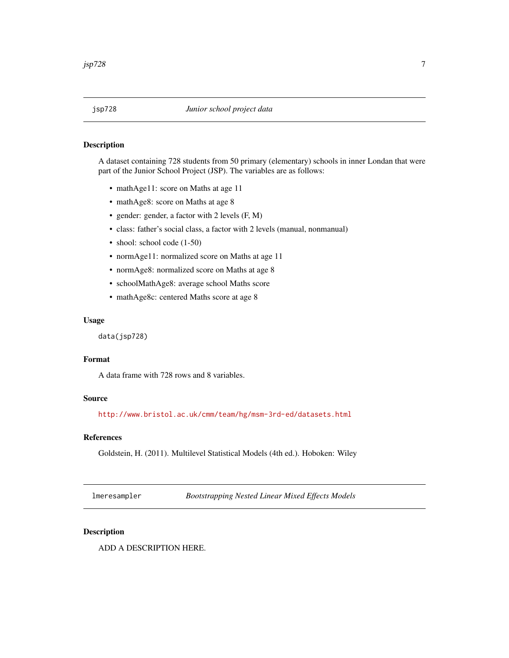## <span id="page-6-0"></span>Description

A dataset containing 728 students from 50 primary (elementary) schools in inner Londan that were part of the Junior School Project (JSP). The variables are as follows:

- mathAge11: score on Maths at age 11
- mathAge8: score on Maths at age 8
- gender: gender, a factor with 2 levels (F, M)
- class: father's social class, a factor with 2 levels (manual, nonmanual)
- shool: school code (1-50)
- normAge11: normalized score on Maths at age 11
- normAge8: normalized score on Maths at age 8
- schoolMathAge8: average school Maths score
- mathAge8c: centered Maths score at age 8

## Usage

data(jsp728)

## Format

A data frame with 728 rows and 8 variables.

## Source

<http://www.bristol.ac.uk/cmm/team/hg/msm-3rd-ed/datasets.html>

## References

Goldstein, H. (2011). Multilevel Statistical Models (4th ed.). Hoboken: Wiley

lmeresampler *Bootstrapping Nested Linear Mixed Effects Models*

## Description

ADD A DESCRIPTION HERE.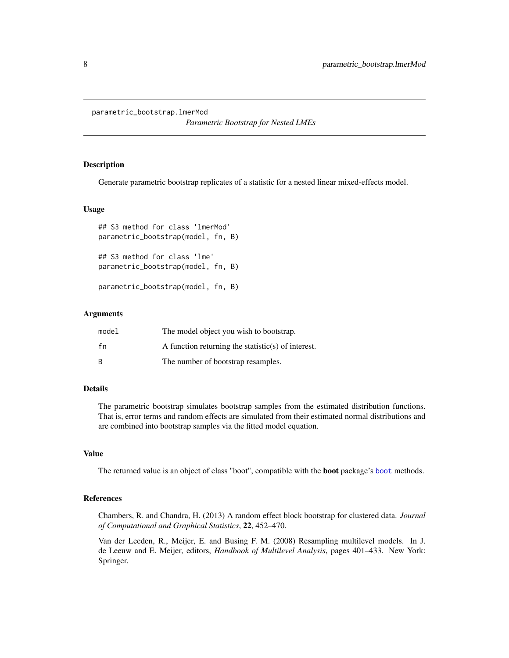<span id="page-7-0"></span>parametric\_bootstrap.lmerMod

*Parametric Bootstrap for Nested LMEs*

## <span id="page-7-1"></span>Description

Generate parametric bootstrap replicates of a statistic for a nested linear mixed-effects model.

## Usage

```
## S3 method for class 'lmerMod'
parametric_bootstrap(model, fn, B)
## S3 method for class 'lme'
parametric_bootstrap(model, fn, B)
parametric_bootstrap(model, fn, B)
```
## Arguments

| model | The model object you wish to bootstrap.            |
|-------|----------------------------------------------------|
| fn    | A function returning the statistic(s) of interest. |
| B     | The number of bootstrap resamples.                 |

## Details

The parametric bootstrap simulates bootstrap samples from the estimated distribution functions. That is, error terms and random effects are simulated from their estimated normal distributions and are combined into bootstrap samples via the fitted model equation.

## Value

The returned value is an object of class "boot", compatible with the boot package's [boot](#page-0-0) methods.

## References

Chambers, R. and Chandra, H. (2013) A random effect block bootstrap for clustered data. *Journal of Computational and Graphical Statistics*, 22, 452–470.

Van der Leeden, R., Meijer, E. and Busing F. M. (2008) Resampling multilevel models. In J. de Leeuw and E. Meijer, editors, *Handbook of Multilevel Analysis*, pages 401–433. New York: Springer.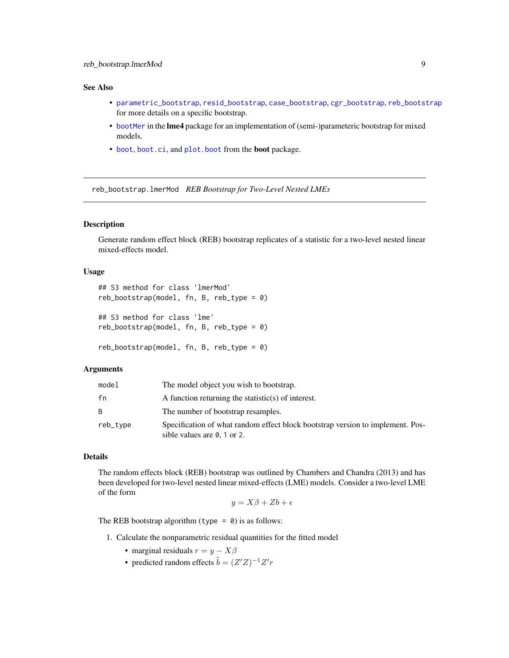## <span id="page-8-0"></span>See Also

- [parametric\\_bootstrap](#page-7-1), [resid\\_bootstrap](#page-9-1), [case\\_bootstrap](#page-3-1), [cgr\\_bootstrap](#page-4-1), [reb\\_bootstrap](#page-8-1) for more details on a specific bootstrap.
- [bootMer](#page-0-0) in the lme4 package for an implementation of (semi-)parameteric bootstrap for mixed models.
- [boot](#page-0-0), [boot.ci](#page-0-0), and [plot.boot](#page-0-0) from the boot package.

reb\_bootstrap.lmerMod *REB Bootstrap for Two-Level Nested LMEs*

## <span id="page-8-1"></span>Description

Generate random effect block (REB) bootstrap replicates of a statistic for a two-level nested linear mixed-effects model.

## Usage

```
## S3 method for class 'lmerMod'
reb_bootstrap(model, fn, B, reb_type = 0)
## S3 method for class 'lme'
reb\_bootstrap(model, fn, B, reb\_type = 0)
```
reb\_bootstrap(model, fn, B, reb\_type = 0)

## Arguments

| model    | The model object you wish to bootstrap.                                                                               |
|----------|-----------------------------------------------------------------------------------------------------------------------|
| fn       | A function returning the statistic(s) of interest.                                                                    |
|          | The number of bootstrap resamples.                                                                                    |
| reb_type | Specification of what random effect block bootstrap version to implement. Pos-<br>sible values are $\theta$ , 1 or 2. |

## Details

The random effects block (REB) bootstrap was outlined by Chambers and Chandra (2013) and has been developed for two-level nested linear mixed-effects (LME) models. Consider a two-level LME of the form

$$
y = X\beta + Zb + \epsilon
$$

The REB bootstrap algorithm (type =  $\theta$ ) is as follows:

- 1. Calculate the nonparametric residual quantities for the fitted model
	- marginal residuals  $r = y X\beta$
	- predicted random effects  $\tilde{b} = (Z'Z)^{-1}Z'r$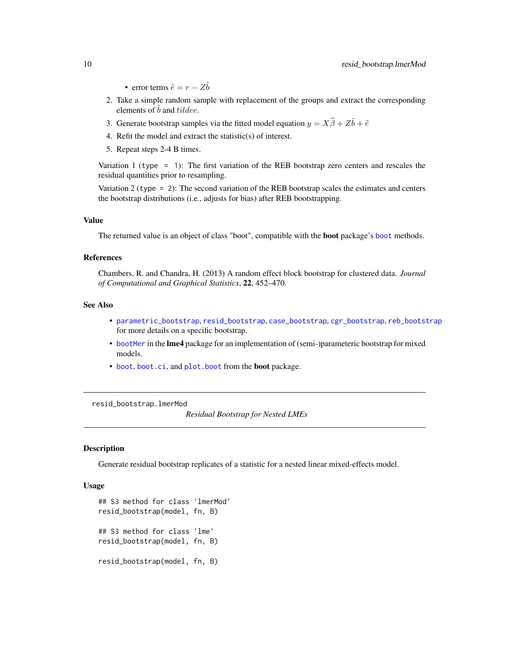• error terms  $\tilde{e} = r - Z\tilde{b}$ 

- <span id="page-9-0"></span>2. Take a simple random sample with replacement of the groups and extract the corresponding elements of  $\tilde{b}$  and tildee.
- 3. Generate bootstrap samples via the fitted model equation  $y = X\hat{\beta} + Z\tilde{b} + \tilde{e}$
- 4. Refit the model and extract the statistic(s) of interest.
- 5. Repeat steps 2-4 B times.

Variation 1 (type = 1): The first variation of the REB bootstrap zero centers and rescales the residual quantities prior to resampling.

Variation 2 (type = 2): The second variation of the REB bootstrap scales the estimates and centers the bootstrap distributions (i.e., adjusts for bias) after REB bootstrapping.

## Value

The returned value is an object of class "boot", compatible with the boot package's [boot](#page-0-0) methods.

#### References

Chambers, R. and Chandra, H. (2013) A random effect block bootstrap for clustered data. *Journal of Computational and Graphical Statistics*, 22, 452–470.

## See Also

- [parametric\\_bootstrap](#page-7-1), [resid\\_bootstrap](#page-9-1), [case\\_bootstrap](#page-3-1), [cgr\\_bootstrap](#page-4-1), [reb\\_bootstrap](#page-8-1) for more details on a specific bootstrap.
- [bootMer](#page-0-0) in the **lme4** package for an implementation of (semi-)parameteric bootstrap for mixed models.
- [boot](#page-0-0), [boot.ci](#page-0-0), and [plot.boot](#page-0-0) from the boot package.

resid\_bootstrap.lmerMod

*Residual Bootstrap for Nested LMEs*

## <span id="page-9-1"></span>Description

Generate residual bootstrap replicates of a statistic for a nested linear mixed-effects model.

#### Usage

```
## S3 method for class 'lmerMod'
resid_bootstrap(model, fn, B)
## S3 method for class 'lme'
resid_bootstrap(model, fn, B)
resid_bootstrap(model, fn, B)
```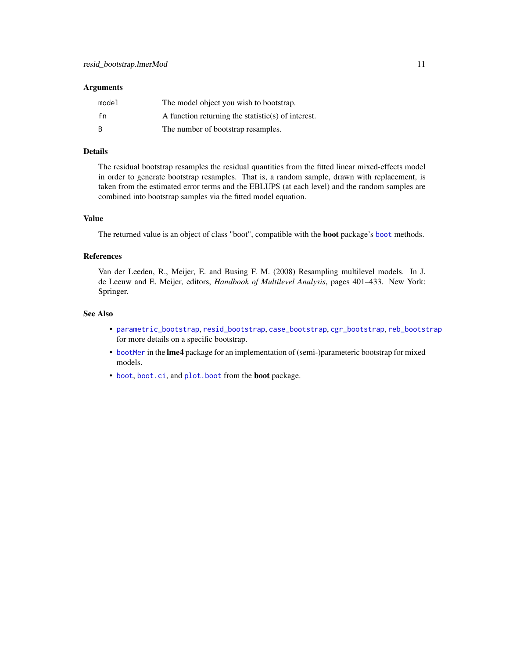#### <span id="page-10-0"></span>**Arguments**

| model | The model object you wish to bootstrap.            |
|-------|----------------------------------------------------|
| fn    | A function returning the statistic(s) of interest. |
| B     | The number of bootstrap resamples.                 |

## Details

The residual bootstrap resamples the residual quantities from the fitted linear mixed-effects model in order to generate bootstrap resamples. That is, a random sample, drawn with replacement, is taken from the estimated error terms and the EBLUPS (at each level) and the random samples are combined into bootstrap samples via the fitted model equation.

## Value

The returned value is an object of class "boot", compatible with the boot package's [boot](#page-0-0) methods.

#### References

Van der Leeden, R., Meijer, E. and Busing F. M. (2008) Resampling multilevel models. In J. de Leeuw and E. Meijer, editors, *Handbook of Multilevel Analysis*, pages 401–433. New York: Springer.

#### See Also

- [parametric\\_bootstrap](#page-7-1), [resid\\_bootstrap](#page-9-1), [case\\_bootstrap](#page-3-1), [cgr\\_bootstrap](#page-4-1), [reb\\_bootstrap](#page-8-1) for more details on a specific bootstrap.
- [bootMer](#page-0-0) in the lme4 package for an implementation of (semi-)parameteric bootstrap for mixed models.
- [boot](#page-0-0), [boot.ci](#page-0-0), and [plot.boot](#page-0-0) from the boot package.